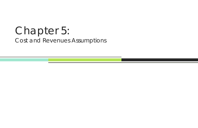# Chapter 5: Cost and Revenues Assumptions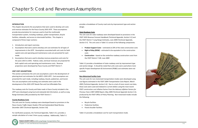

## **INTRODUCTION**

This chapter documents the assumptions that were used to develop unit costs and revenue estimates for the Pasco County 2035 LRTP. These assumptions provide documentation for revenues used to fund the multimodal transportation system, including roadways, public transportation, bicycle facilities, sidewalks, and access to intermodal facilities. This chapter is composed of three major sections:

- 1. Introduction and report overview.
- 2. Assumptions that were used to develop unit cost estimates for all types of improvements in the LRTP. Assumptions associated with unit costs for both capital costs and operating and maintenance costs are presented for each mode.
- 3. Assumptions that were used to develop revenue projections and costs for the years 2015 to 2035. Federal, state, and local revenues are projected for both capital costs and operating and maintenance costs. Revenue projections were developed by Pasco County and FDOT District 7.

For clarification purposes, the Technical Appendix, Table 5‐A‐2, provides <sup>a</sup> sample calculation of a new 2-lane county roadway. Additionally, Table 5-1

# **UNIT COST ASSUMPTIONS**

This section summarizes the unit cost assumptions used in the development of planning‐level cost estimates for the MPO's 2035 LRTP. Cost assumptions are presented for each mode, including roadway, bicycle, pedestrian, and transit. The cost assumptions and resulting cost estimates were used in the development of the 2035 LRTP Needs Plan and Cost Affordable Plan.

- $\bullet$ **Product Support Costs** – estimated at 20% of the state construction costs
- $\bullet$  **Right‐of‐Way (ROW)** – estimated to be equivalent to the construction costs
- **Construction** based on the centerline roadway construction costs from the *FDOT District 7 LRE, June 2009*

The roadway costs for County and State roads in Pasco County included in the LRTP were developed using local and statewide bid information, as well as Long Range Estimates (LRE) provided by the FDOT District 7.

# **County Roadway Costs**

The unit costs for County roadways were developed based on provisions in the *Pasco County Traffic Impact Studies (TIS) and Substandard Road Review, December 2007 (Technical Appendix, Section 5‐B).*

- $\bullet$ Bicycle facilities
- $\bullet$ Pedestrian facilities
- $\bullet$ Paved shoulder facilities

provides <sup>a</sup> breakdown of County road costs by improvement type and section design.

# **State Roadway Costs**

The unit costs for state roadways were developed based on provisions in the *FDOT 2035 Revenue Forecast Handbook (Technical Appendix, Section 5‐C)* and the *FDOT District 7 Long Range Estimates, June 2009 (Technical Appendix, Section 5‐F).* The unit costs in Table 5‐2 consist of the following components:

Table 5‐2 provides <sup>a</sup> breakdown of state roadway costs by improvement type and section design. It should be noted that units costs were used where more specific Project Development & Environment (PD&E) cost estimates were not available.

# **Non‐Motorized Facility Costs**

The unit costs for non‐motorized transportation modes were developed using cost figures estimated in the *FDOT 2004 Transportation Costs Report, March 2005 (Technical Appendix, Section 5‐G)*. Due to <sup>a</sup> lack of more recent cost data, these costs were used and indexed to current dollars using the most recent FDOT construction cost inflation factors from the *Advisory Inflation Factors for Previous Years (1987‐2009) Report, May 2009 (Technical Appendix Section 5‐E)*, produced by the FDOT Office of Policy Planning. Non‐motorized modes include the following:

Table 5‐3 provides <sup>a</sup> breakdown cost for each transportation mode.

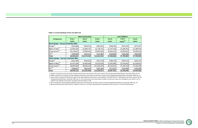

|                                                |             | <b>New Construction</b> |              | <b>Lane Addition</b> |                      |             |  |
|------------------------------------------------|-------------|-------------------------|--------------|----------------------|----------------------|-------------|--|
| <b>Component</b>                               | $0$ to $2$  | $0$ to 4                | $0$ to $6$   | $2$ to 4             | $2$ to 6             | $4$ to $6$  |  |
|                                                | Lanes       | Lanes                   | Lanes        | Lanes                | Lanes <sup>(5)</sup> | Lanes       |  |
| Rural Design - Cost per Centerline Mile        |             |                         |              |                      |                      |             |  |
| Design <sup>(1)</sup>                          | \$232,666   | \$359,521               | \$452,811    | \$248,342            | \$272,437            | \$272,437   |  |
| Right-of-Way <sup>(2)</sup>                    | \$1,093,529 | \$1,689,747             | \$2,128,212  | \$1,167,205          | \$1,280,454          | \$1,280,454 |  |
| Construction <sup>(3)</sup>                    | \$5,118,647 | \$7,909,452             | \$9,961,842  | \$5,463,514          | \$5,993,616          | \$5,993,616 |  |
| CEI <sup>(4)</sup>                             | \$139,599   | \$215,712               | \$271,687    | \$149,005            | \$163,462            | \$163,462   |  |
| <b>Total</b>                                   | \$6,584,441 | \$10,174,432            | \$12,814,552 | \$7,028,066          | \$7,709,969          | \$7,709,969 |  |
| <b>Urban Design - Cost per Centerline Mile</b> |             |                         |              |                      |                      |             |  |
| Design <sup>(1)</sup>                          | \$313,446   | \$439,055               | \$537,239    | \$296,379            | \$326,515            | \$326,515   |  |
| Right-of-Way <sup>(2)</sup>                    | \$1,473,194 | \$2,063,560             | \$2,525,024  | \$1,392,982          | \$1,534,622          | \$1,534,622 |  |
| Construction <sup>(3)</sup>                    | \$6,895,803 | \$9,659,218             | \$11,819,264 | \$6,520,341          | \$7,183,339          | \$7,183,339 |  |
| CEI <sup>(4)</sup>                             | \$188,067   | \$263,433               | \$322,344    | \$177,827            | \$195,909            | \$195,909   |  |
| <b>Total</b>                                   | \$8,870,510 | \$12,425,266            | \$15,203,871 | \$8,387,529          | \$9,240,385          | \$9,240,385 |  |

3. Construction is assessed at 85 percent of the state roads subtotal construction costs provided in the FDOT District 7 LRE based on the Pasco County TIS and Substandard Road Review, December 2007, pg. 14. The construction cost shown above includes a 10 percent scope and contingency cost, which is not in*cluded in the subtotal construction cost figure from the District 7 LRE.*

4. CEI is assessed at 3 percent of the subtotal construction costs based on the Pasco County TIS and Substandard Road Review, December 2007, pg. 14.

5. Based on direction from FDOT District 7 staff, the cost for a 2- to 6-lane improvement is equivalent to the cost for a 4- to 6-lane improvement.

*Table 5‐1 County Roadway Center Line Mile Cost*

1. Design is assessed at 5 percent of the subtotal construction costs based on the Pasco County TIS and Substandard Road Review, December 2007, pg. 14.

2. ROW is assessed at 23.5 percent of the subtotal construction costs based on the Pasco County TIS and Substandard Road Review, December 2007, pg. 15.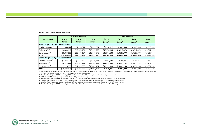1. Product Support includes design and CEI costs and is assumed to be 20 percent of the total construction cost for state roads. However, FDOT will fund product support in-house and therefore they *costs have not been included in the totals for rural and urban designed State roads.*

2. Based on direction from FDOT District 7 staff, ROW should be assessed at 100 percent of the construction costs for Pasco County.

*3. FDOT District 7 LRE Roadway Costs, June 2009 (Technical Appendix, Section 5‐F).*

4. Based on a discussion with FDOT District 7 staff, the cost for a 2- to 4-lane improvement is equivalent to the cost for a 0- to 4-lane improvement.

5. Based on direction from FDOT District 7 staff, the cost for a 2- to 6-lane improvement is equivalent to the cost for a 0- to 6-lane improvement.

6. Based on direction from FDOT District 7 staff, the cost for a 4- to 6-lane improvement is equivalent to the cost for a 0- to 6-lane improvement.

7.Based on direction from FDOT District 7 staff, the cost for a 6- to 8-lane improvement is equivalent to the cost for a 0- to 6-lane improvement.



#### *Table 5‐2 State Roadway Center Line Mile Cost*

|                                                |              | <b>New Construction</b> |              |              | <b>Lane Addition</b> |               |                |
|------------------------------------------------|--------------|-------------------------|--------------|--------------|----------------------|---------------|----------------|
| <b>Component</b>                               | $0$ to $2$   | $0$ to 4                | $0$ to $6$   | $2$ to 4     | $2$ to 6             | 4 to 6        | 6 to 8         |
|                                                | Lanes        | Lanes                   | Lanes        | Lanes $(4)$  | Lanes $(5)$          | Lanes $(6)$   | Lanes $^{(7)}$ |
| Rural Design - Cost per Centerline Mile        |              |                         |              |              |                      |               |                |
| Product Support <sup>(1)</sup>                 | \$1,368,622  | \$2,114,827             | \$2,663,594  | \$2,114,827  | \$2,663,594          | \$2,663,594   | \$2,663,594    |
| Right-of-Way <sup>(2)</sup>                    | \$6,843,110  | \$10,574,134            | \$13,317,970 | \$10,574,134 | \$13,317,970         | \$13,317,970  | \$13,317,970   |
| Construction <sup>(3)</sup>                    | \$6,843,110  | \$10,574,134            | \$13,317,970 | \$10,574,134 | \$13,317,970         | \$13,317,970  | \$13,317,970   |
| Total                                          | \$13,686,220 | \$21,148,268            | \$26,635,940 | \$21,148,268 | \$26,635,940         | \$26,635,940  | \$26,635,940   |
| <b>Urban Design - Cost per Centerline Mile</b> |              |                         |              |              |                      |               |                |
| Product Support <sup>(1)</sup>                 | \$1,843,798  | \$2,582,679             | \$3,160,231  | \$2,582,679  | \$3,160,231          | \$3,160,231   | \$3,160,231    |
| Right-of-Way <sup>(2)</sup>                    | \$9,218,988  | \$12,913,393            | \$15,801,154 | \$12,913,393 | \$15,801,154         | \$15,801,154] | \$15,801,154   |
| Construction <sup>(3)</sup>                    | \$9,218,988  | \$12,913,393            | \$15,801,154 | \$12,913,393 | \$15,801,154         | \$15,801,154  | \$15,801,154   |
| Total                                          | \$18,437,976 | \$25,826,786            | \$31,602,308 | \$25,826,786 | \$31,602,308         | \$31,602,308  | \$31,602,308   |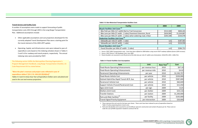

# **Transit Service and Facility Costs**

A number of assumptions were made to support forecasting of public transportation costs 2015 through 2035 in the Long Range Transportation Plan. Additional assumptions include:

- Other applicable assumptions and cost projections developed for the currently adopted Transit Development Plan were <sup>a</sup> starting point for the transit element of this 2035 LRTP update.
- Operating, Capital, and Infrastructure costs were indexed to year-ofexpenditure costs based on the indexing schedule shown in Tables 5‐ 5 and 5‐6 for roadway and transit projects, respectively. The annual indexing rates were provided by FDOT.

The following section fulfills the Metropolitan Planning Organization's Program Management Handbook, Long Range Transportation Checklist, US Code Requirement B‐8 as stated below:

**"Were the plan's revenues and project costs reflected in year of expenditure dollars? [23 C.F.R. 450.322 (f)(10)(iv)]"** *Tables 5‐5 and 5‐6 show how Year of Expenditure Dollars were calculated and used in the cost and revenue projections.*

> 1. These represent the unit costs for the base year shown. These costs have been indexed to year of expenditure based on *Table 5‐4 when projecting future transit costs.*

2. Park-and-ride facilities were assumed to cost \$3,500 per space for construction and contain 30 spaces per lot. These costs ex*clude the cost of ROW acquisition needed to construct the lot.*

| <b>Facility</b>                                                   | 2004      | 2009        |
|-------------------------------------------------------------------|-----------|-------------|
| <b>Bicycle Facilities Unit Costs</b> <sup>(1)</sup>               |           |             |
| Bike Path per Mile (12' width) Rail-to-Trail Conversion           | \$515,500 | \$840,265   |
| Bike Lane per Mile (5' width - 2 sides) Pavement Extension, Rural | \$634,900 | \$1,034,887 |
| Bike Lane per Mile (4' width - 2 sides) when widening road, Urban | \$205,508 | \$334,978   |
| <b>Pedestrian Facilities Unit Costs</b> $^{(2)}$                  |           |             |
| Sidewalks per mile (5' width - 1 side)                            | n/a       | \$187,465   |
| Sidewalks per mile (6' width - 1 side)                            | n/a       | \$224,958   |
| <b>Paved Shoulders Unit Costs</b> <sup>(3)</sup>                  |           |             |
| Paved Shoulder per Mile (4' width - 2 sides)                      | n/a       | \$284,731   |

1. Source: FDOT 2004 Transportation costs. Costs have been inflated to 2009 dollars using recent FDOT roadway inflation factors (63% increase).

*2. Source: FDOT District 7 LRE Roadway Costs, June 2009*

3. Paved shoulders are assumed to cost 85 percent of the bike lane per mile (4' width) costs (Calculation: \$334,978 x 85% = \$284,731).

| <b>Item</b>                                  | <b>Unit</b>      | Base Year <sup>(1)</sup> | Cost        |
|----------------------------------------------|------------------|--------------------------|-------------|
| <b>Fixed-Route Operating Enhancements</b>    | per revenue hour | 2010                     | \$67.10     |
| <b>Fixed-Route Operating Enhancements</b>    | per revenue mile | 2010                     | \$4.02      |
| <b>Paratransit Operating Enhancements</b>    | per year         | 2010                     | \$2,330,797 |
| <b>Fixed-Route Vehicle Cost</b>              | per vehicle      | 2010                     | \$339,900   |
| Stylized Hybrid Bus Rapid Transit 40 ft. bus | per vehicle      | 2010                     | \$587,000   |
| Paratransit Vehicle Cost                     | per vehicle      | 2010                     | \$60,049    |
| Support Vehicle (Transit/Paratransit) Cost   | per vehicle      | 2010                     | \$15,450    |
| Signs (Unit Cost)                            | per sign         | 2009                     | \$125       |
| Shelters (Unit Cost)                         | per shelter      | 2009                     | \$24,116    |
| <b>Transfer Stations</b>                     | per station      | 2009                     | \$1,200,000 |
| Park-and-Ride Facilities <sup>(2)</sup>      | per facility     | 2009                     | \$105,000   |
| <b>Transit Signal Priority Equipment</b>     | per intersection | 2009                     | \$20,000    |

## *Table 5‐3: Non‐Motorized Transportation Facilities Costs*

#### *Table 5‐4 Transit Facilities Cost Assumptions*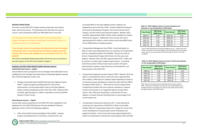#### **REVENUE PROJECTIONS**

The Pasco County 2035 LRTP includes revenue projections from federal, State, and County sources. The following section describes the revenue sources used to develop the 2035 Cost Affordable Plan for the LRTP.

The following section fulfills the Metropolitan Planning Organization's Program Management Handbook, Long Range Transportation Checklist, US Code Requirement A‐5 as stated below:

**"Does the plan include <sup>a</sup> financial plan that demonstrates how the adopted transportation plan can be implemented and indicates public and private resources that can be made available to carry out the plan? [23 U.S.C. 134 (i)(2)(C)]"**

 $\bullet$  Strategic Intermodal System (SIS)/Florida Interstate Highway System (FIHS) – Capacity program providing funds for construction, improvements, and associated right‐of‐way on the State Highway System roadways designated as part of the SIS or FIHS. Between 2015 and 2035, approximately \$1.1 billion is identified to fund the SIS/FIHS projects in Pasco County.

*The section immediately following describes all revenue sources assumed to fund the projects in the LRTP and included in Chapter 7.*

# **Roadway and Other Multi‐Modal Facilities Revenue Sources** *Federal Revenue Sources ‐ Capital*

Annual federal revenue projections for the Strategic Intermodal System were established by the Strategic Intermodal System Long Range Highway Capacity Plan *(Technical Appendix, Section 5‐H)*:

#### *State Revenue Sources – Capital*

Annual state revenue projections for the 2035 LRTP were established in the Supplement to the *FDOT 2035 Revenue Forecast Handbook (Technical Appendix, Section 5‐D)* for the following categories:

 Other Arterial (OA) Construction/Right‐of‐Way (ROW) ‐ Capacity program providing funds for construction, improvements, and

associated ROW on the State Highway System roadways not designated as part of the SIS or FIHS. Includes additional funding for the Economic Development Program, the County Incentive Grant Program, and the Small County Outreach Program. Between 2015 and 2035, approximately \$286.3 million will be available for roadway infrastructure projects. Additionally, Pasco County will receive approximately \$9.5 million in other arterial construction/ROW funds for the PD&E phases of roadway projects.

- Transportation Management Area (TMA) ‐ Funds distributed to <sup>a</sup> TMA, an urban area designated by the U.S. Secretary of Transportation that has a population greater than 200,000. They are the same as Surface Transportation Program (XU) funds in the five‐year work program. Between 2015 and 2035, approximately \$161.7 million will be used for on‐system State roadway improvements. It should be noted that <sup>a</sup> portion of these funds may be used for off‐system improvements; however, these funds were not allocated for such improvements in the 2035 LRTP.
- Transportation Regional Incentive Program (TRIP) ‐ Between 2015 and 2035, it is estimated that Pasco County will receive approximately \$67.6 million in TRIP funds for roadway capital expenditures based on an allocation process developed in conjunction with staff from MPO's throughout FDOT District 7. TRIP funds are used to support those transportation facilities that serve national, statewide, or regional functions and function as an integrated regional transportation system. Also, TRIP funds should have <sup>a</sup> commitment for local, regional, or private financial matching funds as <sup>a</sup> percentage of the overall project cost.
- Transportation Enhancement Revenues (TE) Funds allocated by county per the requirements of SAFETEA‐LU (Safe, Accountable, Flexible, Efficient Transportation Equity Act: A Legacy for Users) to be used in development of required plans and to fund bicycle and pedestrian facilities. Pasco County will receive approximately \$25.2 million in transportation enhancement funds between 2015 and 2035.

| <b>Time Period</b> | <b>YOE Factor</b><br>(2009 base) | <b>Time Period</b> | <b>YOE Factor</b><br>(2010 base) |
|--------------------|----------------------------------|--------------------|----------------------------------|
| 2009-15            | 1.24                             | 2010-15            | 1.19                             |
| 2016-20            | 1.37                             | 2016-20            | 1.31                             |
| 2021-25            | 1.61                             | 2021-25            | 1.54                             |
| 2026-30            | 1.89                             | 2026-30            | 1.81                             |
| 2031-35            | 2.22                             | 2031-35            | 2.13                             |

*Source: FDOT 2035 Revenue Forecast Handbook, pg. D‐3. The five‐year YOE factors are based on the annual inflation rates provided and due to rounding issues, they do not exactly match the five‐year figures shown in the FDOT handbook.*

*Table 5‐5: FDOT Inflation Factors to Convert Roadway Cost Estimates to Year of Expenditure (YOE) Dollars*

*FDOT errata and revisions from the 2035 Revenue Forecast, October 2008. The five‐year YOE factors are based on the annual inflation rates provided and due to rounding issues, they do not exactly match the five‐ year figures shown in the FDOT errata.*

| <b>YOE Factor</b><br>(2009 base) | <b>Time Period</b> | <b>YOE Factor</b><br>(2010 base) |
|----------------------------------|--------------------|----------------------------------|
| 1.16                             | 2010-15            | 1.14                             |
| 1.24                             | 2016-20            | 1.23                             |
| 1.40                             | 2021-25            | 1.39                             |
| 1.59                             | 2026-30            | 1.57                             |
| 1.89                             | 2031-35            | 1.78                             |
|                                  |                    |                                  |

| Table 5-6: FDOT Inflation Factors to Convert Transit Cost Estimates |  |
|---------------------------------------------------------------------|--|
| to Year of Expenditure (YOE) Dollars                                |  |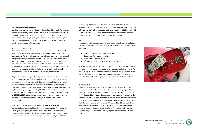



#### *Local Revenue Sources – Capital*

Local revenue sources that could potentially fund the 2035 Needs Plan projects also were provided by Pasco County. The 2035 LRTP Cost Affordable Plan will be funded primarily with revenues from transportation impact fees, proportionate share tax, sales tax, developer contributions, and local option gas tax. The development of these local revenue sources are discussed in more detail in the remainder of this section.

#### *Transportation Impact Fees*

Transportation impact fees are assessed to provide revenue for financing the expansion of roadway facilities needed to accommodate new growth and development. Pasco County began collecting impact fees in 1985 and currently charges <sup>a</sup> transportation impact fee of \$9,528 per single family home (1,501‐ 2,499 sq ft category). Revenues generated by the transportation impact fee program are <sup>a</sup> main source of funding for the County's Cost Affordable Roadway Plan. However, transportation impact fees can be used only for the expansion of roadway facilities or similar capacity‐adding projects and may not be used to fund renovation, maintenance projects, or operations.

To project available transportation impact fee revenue through 2035, revenues are calculated using building permit projections. Future building permits are projected using 2035 socioeconomic data estimates and adjusted to account for the current period of slower‐than‐average growth before leveling off at <sup>a</sup> three percent annual growth rate through 2035. Based on projections provided by Pasco County staff, approximately 169,000 permits will be issued between 2015 and 2035. Permit projections ranged from approximately 4,000 in 2015 to 10,700 in 2035, with an annual average growth rate of approximately five percent, as provided by the Pasco County Growth and Development Department.

Due to continuing growth in Pasco County, it is expected that the transportation impact fee will continue to generate revenue for the County. For projection purposes, the transportation impact rate was indexed by 6.6 percent annually through 2012 as adopted by the Board, and it is estimated that the impact fee rate will increase by 3.3 percent annually from 2013 to

2035 to keep in line with the FDOT expense escalation factor. Based on revenue projections provided by Pasco County staff, transportation impact fees will generate \$3.71 billion for capital roadway projects from 2015 through 2035 as shown in Table 5‐7. All projected transportation impact fee revenues are applied to the County's roadway capital expansion program.

#### *Gas Tax*

Pasco County receives <sup>a</sup> portion on its roadway revenues from local and state gas taxes imposed in the county. Listed below are the County's current gas tax collections:

- Constitutional Gas Tax 2 cents per gallon
- $\bullet$ County Fuel Tax ‐ 1 cent per gallon
- Ninth-Cent 1 cent per gallon
- $\bullet$  $1<sup>st</sup>$  Local Option Fuel Tax (LOGT) - 6 cents per gallon

Based on discussions with County staff, the County currently applies 35 percent of the revenue generated from gas taxes to the capital roadway program. As shown in Figure 5‐1, under the assumption that the County gas tax collections will remain consistent through 2035, the County will have approximately \$127.9 million available for capital improvement projects between 2015 and 2035.

## *Penny for Pasco*

In addition to transportation impact fees and gas tax collections, Pasco County receives revenue from the local option infrastructure surtax program, "Penny for Pasco." The program went into effect in 2005 and will exist for <sup>a</sup> 10‐year period through 2014, with the County government receiving 45 percent of the proceeds. Of the 45 percent, half of the revenue is dedicated to transportation improvements that address traffic congestion. Based on direction from County staff, the tax is assumed to be renewed at the end of the 10‐year period, and collections would continue through 2024 with <sup>a</sup> three (3) percent increase annually. Under these assumptions, the Penny for Pasco tax will generate approximately \$72.7 million for roadway improvements between 2015 and 2024.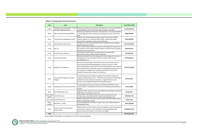**MPO** 

| <b>Type</b>              | Fund                                                         | <b>Description</b>                                                                                                                                                                                                                                                                                                                                                                                                    | Total (2015-2035) |
|--------------------------|--------------------------------------------------------------|-----------------------------------------------------------------------------------------------------------------------------------------------------------------------------------------------------------------------------------------------------------------------------------------------------------------------------------------------------------------------------------------------------------------------|-------------------|
| Federal                  | Interstate Highway System                                    | Strategic Intermodal System / Florida Revenues go towards construction, improvements, and associated ROW<br>on SIS highways and the FIHS (interstate, turnpike, toll roads)                                                                                                                                                                                                                                           | \$1,070,919,216   |
| State                    | Other Arterial Construction/ROW                              | Revenues go towards construction, improvements, and associated ROW<br>on State Highway System roadways not designated as part of the SIS or<br><b>FIHS</b>                                                                                                                                                                                                                                                            | \$286,300,004     |
| State                    | <b>Transportation Management Areas</b>                       | Revenues can be used towards other arterials construction & ROW,<br>product support (i.e., planning, PD&E studies, engineering design,<br>construction inspection), transit, and resurfacing                                                                                                                                                                                                                          | \$163,900,000     |
| Local                    | <b>Transportation Impact Fees</b>                            | Charge per unit of new development and is available to fund roadway<br>capacity expansion projects                                                                                                                                                                                                                                                                                                                    | \$3,713,833,813   |
| Local                    | Gas Tax                                                      | Pasco County collects 10 pennies of gas tax and dedicates 35 percent of<br>the revenues to the capital roadway program and 65 pecent to roadway<br>operations and maintenance                                                                                                                                                                                                                                         | \$365,491,077     |
| Local                    | Penny for Pasco Sales Tax                                    | Local option infrastructure surtax dedicated to transportation<br>improvements and to address traffic congestion                                                                                                                                                                                                                                                                                                      | \$72,665,070      |
| Local                    | Proportionate Share                                          | Revenues collected from new development that mitigate the impacts of<br>development on transportation facilities consistent with Section<br>163.3180 (2) (c) F.S.                                                                                                                                                                                                                                                     | \$774,044,223     |
| Local                    | <b>Developer Contributions</b>                               | Revenues from developers that will be in the form of construction of<br>new roads that facilitate development of certain corridors in Pasco<br>County. Specifically, section 319 of the Land Development Code requires<br>that improvements constructed as part of a development agreement are<br>not impact fee creditable also consistent with Section 78-41 of the<br>Adopted Transportation Impact Fee Ordinance. | \$1,676,162,460   |
| State                    | <b>Transportation Regional Incentive</b><br>Program          | Growth Management funding for regional transportation projects in<br>"regional transportation areas." TRIP funds must support transportation<br>facilities that serve national, statewide, or regional functions and<br>function as an integrated regional transportation system                                                                                                                                      | \$67,575,501      |
| State                    | <b>Transportation Enhancement Funds</b>                      | Transportation Enhancement funds are defined by SAFETEA-LU and<br>assist the MPO in developing their plans and funding bicycle/pedestrian<br>facilities                                                                                                                                                                                                                                                               | \$25,150,000      |
| State                    | FDOT PD&E (OA) Funds                                         | Additional Other Arterials Construction/ROW funds available to fund the<br>PD&E phase of roadway construction                                                                                                                                                                                                                                                                                                         | \$9,524,901       |
| Local, State,<br>Federal | <b>Transit Revenues</b>                                      | Section 5307, 5311 federal funds, state service development and<br>corridor grants and local funds for capital and operatings costs.                                                                                                                                                                                                                                                                                  | \$234,601,134     |
| Local, State             | <b>Farebox Revenues</b>                                      | Revenue collections from fares and bus passes sold by the Pasco County<br>Public Transportation system.                                                                                                                                                                                                                                                                                                               | \$6,917,160       |
| State,<br>Federal        | New Starts - Transit                                         | Growth Management funding for major new transit capital projects in<br>metropolitan areas                                                                                                                                                                                                                                                                                                                             | \$224,359,408     |
| Local                    | <b>Charter County Transportation</b><br><b>System Surtax</b> | Additional penny of local option sales tax available to fund development,<br>construction, operation, and maintenance of fixed guideway rapid<br>transit systems, bus systems, and roads and bridges                                                                                                                                                                                                                  | \$1,059,623,154   |
| Total                    |                                                              |                                                                                                                                                                                                                                                                                                                                                                                                                       | \$9,751,067,121   |

Source: Table 5-8 and Tables 5-A-10 through 5-A-14 in the Technical Appendix

#### *Table 5‐7: Transportation Revenue Resources*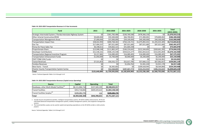

*Source: Technical Appendix Tables 5‐A‐4 through 5‐A‐9*

| <b>Fund</b>                                                     | 2015          | 2016-2020       | 2021-2025        | 2026-2030       | 2031-2035       | <b>Total</b><br>$(2015 - 2035)$ |
|-----------------------------------------------------------------|---------------|-----------------|------------------|-----------------|-----------------|---------------------------------|
| Strategic Intermodal System / Florida Interstate Highway System | \$0           | \$361,783,486   | \$230,769,580    | \$478,366,150   | 50              | \$1,070,919,216                 |
| Other Arterial Construction/ROW                                 | \$9,600,000   | \$59,300,000    | \$66,700,001     | \$71,900,001    | \$78,800,002    | \$286,300,004                   |
| <b>Transportation Management Areas</b>                          | \$7,000,000   | \$37,000,000    | \$39,100,000     | \$40,300,000    | \$40,500,000    | \$163,900,000                   |
| <b>Transportation Impact Fees</b>                               | \$38,022,993  | \$400,768,363   | \$764,134,721    | \$1,075,892,431 | \$1,435,015,305 | \$3,713,833,813                 |
| <b>Gas Tax</b>                                                  | \$17,404,337  | \$87,021,685    | \$87,021,685     | \$87,021,685    | \$87,021,685    | \$365,491,077                   |
| Penny for Pasco Sales Tax                                       | \$6,338,611   | \$34,662,121    | \$31,664,338     |                 | \$0             | \$72,665,070                    |
| Proportionate Share                                             | \$13,948,248  | \$111,865,247   | \$166, 224, 642] | \$212,344,692   | \$269,661,395   | \$774,044,223                   |
| Developer Contributions                                         | \$21,536,161  | \$506,135,548   | \$434,615,277    | \$561,833,615   | \$152,041,859   | \$1,676,162,460                 |
| Transportation Regional Incentive Program                       | \$3,217,881   | \$16,089,405    | \$16,089,405     | \$16,089,405    | \$16,089,405    | \$67,575,501                    |
| Transportation Enhancement Funds                                | \$1,050,000   | \$5,700,000     | \$6,000,000      | \$6,200,000     | \$6,200,000     | \$25,150,000                    |
| FDOT PD&E (OA) Funds                                            |               | \$0             | \$0              | \$0             | \$9,524,901     | \$9,524,901                     |
| Transit Revenues                                                | \$7,521,853   | \$50,332,727    | \$52,017,785     | \$57,666,112    | \$67,062,657    | \$234,601,134                   |
| <b>Farebox Revenues</b>                                         | \$0           | \$0             | \$1,054,762      | \$1,941,220     | \$3,921,178     | \$6,917,160                     |
| New Starts - Transit                                            | \$0           | \$6,365,663     | \$0              | \$209,428,945   | \$8,564,800     | \$224,359,408                   |
| <b>Charter County Transportation System Surtax</b>              | \$0           | \$52,568,805    | \$287,467,773    | \$333,253,933   | \$386,332,643   | \$1,059,623,154                 |
| <b>Total</b>                                                    | \$125,640,084 | \$1,729,593,050 | \$2,182,859,969  | \$3,152,238,189 | \$2,560,735,830 | \$9,751,067,121                 |

1. Includes bicycle and pedestrian facilities, intelligent transportation systems, SR 54/56 mobility enhancements, SR 54 and *Little Road advanced transportation management systems, mobility management systems, and congestion management systems.*

2. The transit facilities surplus can be used for capital and operating expenditures on the SR 54/56 corridor or other priority *projects.*

*Source: Technical Appendix, Tables 5‐A‐4 through 5‐A‐9*

| <b>Source</b>                                         | Capital          | <b>Operating</b> | <b>Total</b>         |
|-------------------------------------------------------|------------------|------------------|----------------------|
| Roadways, other Multi-Modal Facilities <sup>(1)</sup> | \$8,111,066,718] | \$237,569,199    | \$8,348,635,917      |
| Transit Facilities                                    | \$453,718,806    | \$609,429,622    | \$1,063,148,428      |
| Transit Facilities Surplus <sup>(2)</sup>             | \$339,282,776    | n/a              | <u>\$339,282,776</u> |
| Total                                                 | \$8,904,068,300  | \$846,998,821    | \$9,751,067,121      |

#### *Table 5‐8: 2015‐2035 Transportation Revenues in 5‐Year Increments*

#### *Table 5‐9: 2015‐2035 Transportation Revenues (Capital versus Operating)*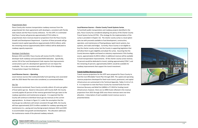

## *Proportionate Share*

Pasco County also receives transportation roadway revenues from the proportionate fair share agreements with developers, consistent with Florida state statute and the Pasco County ordinance. For the LRTP, it is estimated that Pasco County will generate approximately \$774.0 million in proportionate share revenues based on projections from the Pasco County Growth and Development Department. A portion of these proceeds will go towards transit capital expenditures (approximately \$139.6 million), while the remaining revenue (approximately \$634.4 million) will be dedicated to roadway capacity expansion.

#### *Developer Contributions*

Between 2015 and 2035, Pasco County will receive \$1,676.2 million in developer‐built roadways and associated ROW dedication. Specifically, section 319 of the Land Development Code requires that improvements constructed as part of <sup>a</sup> development agreement are not impact fee creditable. This is also consistent with Section 78‐41 of the Adopted Transportation Impact Fee Ordinance.

## *Local Revenue Sources – Operating*

Local revenue sources that could potentially fund operating costs associated with the 2035 Needs Plan were also considered, as summarized below:.

## *Gas Tax*

As previously mentioned, Pasco County currently collects 10 cents per gallon of local option gas tax. Based on discussions with County Staff, the County currently applies 65 percent of the revenue generated from gas taxes to the roadway operations and maintenance program. It is expected that the County will continue to distribute future gas tax revenues at the current appropriations. As shown in Figure 5‐2, under the assumption that the County gas tax collections will remain consistent through 2035, the County will have approximately \$237.6 million available for roadway operating and maintenance (i.e., paving and resurfacing) projects between 2015 and 2035 to accommodate new growth and development. This allocation addresses the maintenance needs of the planned roadway network.

## **Local Revenue Sources – Charter County Transit Systems Surtax**

To fund both public transportation and roadway projects identified in the plan, Pasco County has considered adopting one penny of the Charter County Transit System Surtax (CCTSS). (The strategy for the implementation of the surtax is provided in Chapter 13). The charter county surtax is <sup>a</sup> local option sales tax with proceeds available to fund development, construction, operation, and maintenance of fixed guideway rapid transit systems, bus systems, and roads and bridges. Currently, Pasco County is not eligible to levy the charter county surtax, but the County is supporting legislation that will allow them to gain eligibility and adopt the surtax. Assuming that the County becomes eligible and based on statutory requirements if this funding source, approximately \$1,059.6 million in additional revenue will be available to fund transportation improvements. Of the charter county surtax revenue, 75 percent would be dedicated to transit, totaling approximately \$794.7, and the remaining 25 percent, approximately \$264.9, would be available for roadway improvements that support the transit investment.

## **Transit Facilities Revenue Sources**

Transit revenue projections for the LRTP were prepared for Pasco County to fund the Cost Affordable Transit Plan through 2035. The capital and operating revenue projections developed for fixed‐route transit, paratransit, and capital infrastructure are summarized in the Technical Appendix, Tables 5‐A‐6 to 5‐A‐ 9. It is important to note that Pasco County has received funds from the American Recovery and Relief Act (ARRA) in FY 2010 for funding transit infrastructure; however, there are no ARRA funds reflected in the revenue projections from 2015 through 2035 since these revenues were one‐time allocation. A description of each available transit revenue source is presented below.

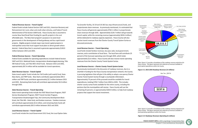

Chapter 5: Cost and Revenues Assumptions

#### *Federal Revenue Sources ‐ Transit Capital*

Federal funds include Federal Section 5307 and 5311, American Recovery and Reinvestment Act rural, urban and small urban stimulus, and Federal Transit Administration (FTA) Section 5309 funds. Pasco County also is assumed to receive New Start/Small Start funding for specific projects in the cost affordable plan. The New Start program's purpose is to assist local governments in the development of fixed guideway and bus rapid transit projects. Eligible projects include major new transit capital projects in metropolitan areas that must support local plans to direct growth where desired. Federal New Start is assumed to generate approximately \$130.9 million between 2015 and 2035.

#### *Federal Revenue Sources ‐ Transit Operating*

Federal funds available for operating expenditures include Federal Section 5307 and 5311, Medicaid funds, transportation disadvantaged planning, Title IIIB Federal Funds, and Title IIIB In‐Kind Funds. Between 2015 and 2035, approximately \$67.4 million will be available for transit operations.

## *State Revenue Sources ‐ Transit Capital*

State transit capital funds include the Toll Credits (soft match) fund, State New Starts, and TRIP funds. New Starts contributes approximately \$93.5 million and TRIP funds contribute approximately \$2.2 million between 2015 and 2035. Remaining State funds will contribute approximately \$4.0 million through 2035.

#### *State Revenue Sources ‐ Transit Operating*

State transit operating funds include the FDOT Block Grant Program, FDOT Service Development Program, FDOT Transit Corridor Program, Transportation Disadvantaged Trips, the Community Development Block Grant, the Title IIIB – State fund, and farebox revenues. Farebox revenues will contribute approximately \$2.6 million, and remaining State funds will contribute approximately \$63.3 million between 2015 and 2035.

Developer **Contributions** \$1,676.2

#### *Local Revenue Sources – Transit Capital*

Local funds include the Local Government 5311 fund, the Local Option Sales

Tax (transfer facility, US 19 and US 301 bus stop infrastructure) funds, and proportionate share revenues. As previously mentioned, it is estimated that Pasco County will generate approximately \$764.1 million in proportionate share revenues through 2035. Approximately \$129.7 million will go towards transit capital, while the remaining revenue (approximately \$634.4 million) will be dedicated to roadway capacity expansion. Pasco County will also receive transit revenues from the Charter County Transit System Surtax as discussed previously.



#### *Local Revenue Sources – Transit Operating*

Local funds include farebox revenues, bus pass sales, local government, reserves, and <sup>a</sup> contribution of local fares. The local fares will contribute 25 percent of the Suncoast operating costs through 2035, which totals approximately \$2.6 million. Pasco County will also receive transit operating revenues from the Charter County Transit System Surtax.

#### *Local Revenue Sources – Charter County Transit System Surtax*

As previously mentioned in the discussion of roadway revenues, due to <sup>a</sup> shortfall in funding for the Pasco County transportation network, the County is pursuing legislation that will give it the ability to adopt <sup>a</sup> one‐penny Charter County Transit System Surtax through <sup>a</sup> countywide referendum. Approximately 75 percent of the proceeds would be available for transit expenditures, totaling \$794.7 million from 2020 to 2035. This includes charter county surtax funds available for the entire county, including the portions that the municipalities will receive. Pasco County will use the remaining 25 percent, or approximately \$264.9 million, to help fund roadway projects that support the transit investment.

Penny for Pasco, \$72.7

Proportionate Share, \$634.4

Transportaiton Enhancement, \$25.2

Charter County **Transportation** Systems Surtax, \$264.9



*Note: Figure 5‐1 provides <sup>a</sup> breakdown of the roadway revenue projections for Pasco County. This figure represents the collection of revenues available to fund capital expenditures within the County.*

# *Figure 5‐1: 2015‐2035 Roadway Revenues (in millions)*

*Note: Figure 5‐2 provides <sup>a</sup> breakdown of the roadway revenue projections for Pasco County. This figure represents the collection of revenues available to fund operating expenditures within the County.*

# *Figure 5‐2: Roadways Revenues‐Operating (in millions)*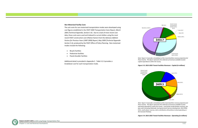#### *Non‐Motorized Facility Costs*

The unit costs for non‐motorized transportation modes were developed using cost figures established in the *FDOT 2004 Transportation Costs Report, March 2005 (Technical Appendix, Section 5‐A)*. Due to <sup>a</sup> lack of more recent cost data, these costs were used and indexed to current dollars using the most recent FDOT construction cost inflation factors from the *Advisory Inflation Factors for Previous Years (1987‐2009) Report, May 2009 (Technical Appendix Section 5‐A)*, produced by the FDOT Office of Policy Planning. Non‐motorized modes include the following:

- Bicycle facilities
- $\bullet$  Pedestrian facilities
- $\bullet$ Paved shoulder facilities

Additional detail is provided in Appendix C. Table 5‐2‐3 provides <sup>a</sup> breakdown cost for each transportation mode.





*Note: Figure 5‐3 provides <sup>a</sup> breakdown of the transit facilities revenue projections for Pasco County. This figure represents the collection of revenues available to fund capital expenditures within the County.*

*Figure 5‐3: 2015‐2035 Transit Facilities Revenues ‐ Capital (in millions)*



*Note: Figure 5‐4 provides <sup>a</sup> breakdown of the transit facilities revenue projections for Pasco County. This figure represents the collection of revenues available to fund operating expenditures within the County. Local funds include farebox revenues, bus pass sales (including Medicaid), local government (service development, IIIB, MTBG, 5311, small urban), reserves, and <sup>a</sup> contribution of local fares to fund operating on the Suncoast Parkway.*



# *Figure 5‐4: 2015‐2035 Transit Facilities Revenues ‐ Operating (in millions)*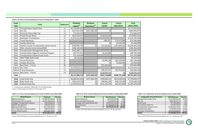

| <b>Fund</b>  |                                                    |                          | <b>Roadway</b>         | Roadway                   | <b>Transit</b>  | <b>Transit</b>    | <b>Total</b>    |
|--------------|----------------------------------------------------|--------------------------|------------------------|---------------------------|-----------------|-------------------|-----------------|
| <b>Type</b>  | <b>Fund</b>                                        | Reference                | Capital <sup>(1)</sup> | Operations <sup>(1)</sup> | <b>Capital</b>  | <b>Operations</b> | $(2015 - 2035)$ |
| Local        | <b>Transportation Impact Fees</b>                  | L1                       | \$3,713,833,813        |                           |                 |                   | \$3,713,833,813 |
| Local        | <b>Gas Tax</b>                                     | L2                       | \$127,921,878          | \$237,569,199             | \$0             | \$0]              | \$365,491,077   |
| Local        | Penny for Pasco Sales Tax                          | L <sub>3</sub>           | \$72,665,070           |                           |                 |                   | \$72,665,070    |
| Local        | Proportionate Share                                | L4                       | \$634,424,927          |                           | \$139,619,296   | \$0]              | \$774,044,223   |
| Local        | <b>Developer Contributions</b>                     | L <sub>5</sub>           | \$1,676,162,460        |                           |                 |                   | \$1,676,162,460 |
| Local        | Transit Revenues                                   | L <sub>6</sub>           |                        |                           | \$305,012       | \$73,475,888      | \$73,780,900    |
| Local        | <b>Farebox Revenues</b>                            | L7                       |                        |                           | 50 <sub>l</sub> | \$3,458,580       | \$3,458,580     |
| Local        | <b>Charter County Transportation System Surtax</b> | L8                       | \$264,905,776          | \$0                       | \$57,021,823    | \$737,695,555     | \$1,059,623,154 |
| <b>State</b> | Other Arterial Construction/ROW                    | S <sub>1</sub>           | \$286,300,004          |                           |                 |                   | \$286,300,004   |
| <b>State</b> | <b>Transportation Management Areas</b>             | S <sub>2</sub>           | \$161,683,172          |                           |                 |                   | \$161,683,172   |
| <b>State</b> | Transportation Regional Incentive Program          | S <sub>3</sub>           | \$67,575,501           |                           | \$2,216,828     | \$0]              | \$69,792,329    |
| <b>State</b> | <b>Transportation Enhancement Funds</b>            | S <sub>4</sub>           | \$25,150,000           |                           |                 |                   | \$25,150,000    |
| <b>State</b> | FDOT PD&E (OA) Funds                               | S <sub>5</sub>           | \$9,524,901            |                           |                 |                   | \$9,524,901     |
| <b>State</b> | Transit Revenues                                   | S <sub>6</sub>           |                        |                           | \$3,965,188     | \$63,270,902      | \$67,236,090    |
| <b>State</b> | <b>Farebox Revenues</b>                            | S7                       |                        |                           | \$0             | \$3,458,580       | \$3,458,580     |
| <b>State</b> | New Starts - Transit                               | S8                       |                        |                           | \$93,483,089    | \$0]              | \$93,483,089    |
| Federal      | SIS / FIHS                                         | F1                       | \$1,070,919,216        |                           |                 |                   | \$1,070,919,216 |
| Federal      | <b>Transit Revenues</b>                            | F <sub>2</sub>           |                        |                           | \$26,231,251    | \$67,352,893      | \$93,584,144    |
| Federal      | New Starts - Transit                               | F <sub>3</sub>           |                        |                           | \$130,876,319   | 50                | \$130,876,319   |
| <b>Total</b> |                                                    |                          | \$8,111,066,718        | \$237,569,199             | \$453,718,806   | \$948,712,398     | \$9,751,067,121 |
| Total        | Local funds only                                   | $\overline{\phantom{a}}$ | \$6,489,913,924        | \$237,569,199             | \$196,946,131   | \$814,630,023     | \$7,739,059,277 |
| Total        | State funds only                                   | $\blacksquare$           | \$550,233,578          | \$0                       | \$99,665,105    | \$66,729,482      | \$716,628,165   |
| Total        | Federal funds only                                 |                          | \$1,070,919,216        | 50                        | \$157,107,570   | \$67,352,893      | \$1,295,379,679 |

*1. Includes bicycle, pedestrian, MMS/CMS, ITS, and ATMS facilities Source: Technical Appendix Tables 5‐A‐10 through 5‐A‐14*

*Table 5‐10: Pasco County Roadway and Transit Funding (2015—2035)*

| Mode/Program                            | <b>Total Cost</b> | <b>Percent</b> |
|-----------------------------------------|-------------------|----------------|
| <b>Highway Expansion</b>                | \$7,956,941,634.0 | 81.6%          |
| Transit (operations & capital)          | \$1,063,148,428.0 | 10.9%          |
| Intelligent Transportation Systems      | \$30,293,834.0    | 0.3%           |
| <b>Mobility Management</b>              | \$40,818,750.0    | 0.4%           |
| <b>Highway Maintenance</b>              | \$237,569,199.0   | 2.4%           |
| Trails, Sidewalks, & Bicycle Facilities | \$48,012,500.0    | 0.5%           |
| Transit & Road Surplus                  | \$374,282,776.0   | 3.8%           |
| <b>TOTAL</b>                            | \$9,751,067,121.0 | 100.0%         |

*Source: FDOT 2035 Revenue Forecast Handbook, pg. D‐3. The five‐year YOE*

| Table 5-11: Pasco County Roadway and Transit Facilities Costs (2015-2035) |  |  |  |  |  |  |
|---------------------------------------------------------------------------|--|--|--|--|--|--|
|---------------------------------------------------------------------------|--|--|--|--|--|--|

| <b>Revenue Source</b>             | <b>Total Revenues</b> | <b>Percent</b> |
|-----------------------------------|-----------------------|----------------|
| <b>Federal Revenues</b>           | \$224,460,463.0       | 2.3%           |
| <b>State and Federal Revenues</b> | \$716,628,165.0       | 7.3%           |
| Strategic Intermodal System (SIS) | \$1,070,919,216.0     | 11.0%          |
| Local Revenues                    | \$7,739,059,277.0     | 79.4%          |
| <b>ITOTAL</b>                     | \$9,751,067,121.0     | 100.0%         |

*Source: FDOT 2035 Revenue Forecast Handbook, pg. D‐3. The five‐year YOE*

*Table 5‐12: Pasco County Roadway and Transit Facilities Funding (2015‐2035)*

| <b>Composition of Local Revenues</b> | <b>Total Revenues</b> | Percent |
|--------------------------------------|-----------------------|---------|
| <b>Transportation Impact Fees</b>    | \$3,713,833,813.0     | 48.0%   |
| <b>Gas Tax</b>                       | \$365,491,077.0       | 4.7%    |
| <b>Local Transit</b>                 | \$77,239,480.0        | 1.0%    |
| <b>Local Options Sales Tax</b>       | \$72,665,070.0        | 0.9%    |
| <b>Transportation System Surtax</b>  | \$1,059,623,154.0     | 13.7%   |
| <b>Proportionate Share</b>           | \$774,044,223.0       | 10.0%   |
| <b>Developer Contributions</b>       | \$1,676,162,460.0     | 21.7%   |
| <b>TOTAL</b>                         | \$7,739,059,277.0     | 100.0%  |

*Source: FDOT 2035 Revenue Forecast Handbook, pg. D‐3. The five‐year YOE*

# *Table 5‐13: Composition of Local Funding by Source (2015‐2035)*